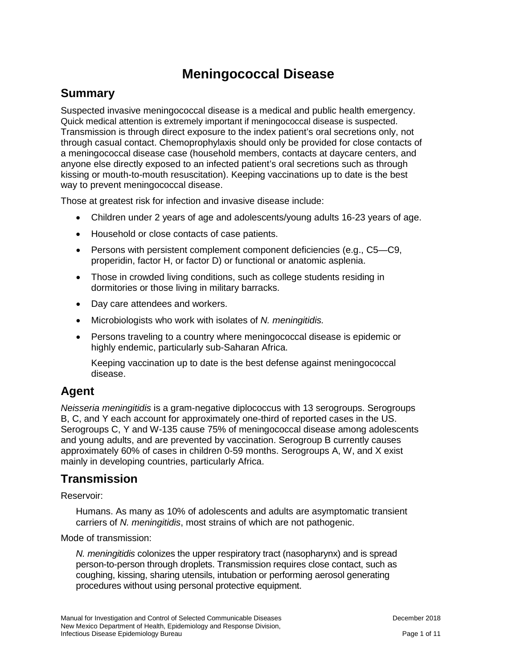# **Meningococcal Disease**

## **Summary**

Suspected invasive meningococcal disease is a medical and public health emergency. Quick medical attention is extremely important if meningococcal disease is suspected. Transmission is through direct exposure to the index patient's oral secretions only, not through casual contact. Chemoprophylaxis should only be provided for close contacts of a meningococcal disease case (household members, contacts at daycare centers, and anyone else directly exposed to an infected patient's oral secretions such as through kissing or mouth-to-mouth resuscitation). Keeping vaccinations up to date is the best way to prevent meningococcal disease.

Those at greatest risk for infection and invasive disease include:

- Children under 2 years of age and adolescents/young adults 16-23 years of age.
- Household or close contacts of case patients.
- Persons with persistent complement component deficiencies (e.g., C5—C9, properidin, factor H, or factor D) or functional or anatomic asplenia.
- Those in crowded living conditions, such as college students residing in dormitories or those living in military barracks.
- Day care attendees and workers.
- Microbiologists who work with isolates of *N. meningitidis.*
- Persons traveling to a country where meningococcal disease is epidemic or highly endemic, particularly sub-Saharan Africa.

Keeping vaccination up to date is the best defense against meningococcal disease.

## **Agent**

*Neisseria meningitidis* is a gram-negative diplococcus with 13 serogroups. Serogroups B, C, and Y each account for approximately one-third of reported cases in the US. Serogroups C, Y and W-135 cause 75% of meningococcal disease among adolescents and young adults, and are prevented by vaccination. Serogroup B currently causes approximately 60% of cases in children 0-59 months. Serogroups A, W, and X exist mainly in developing countries, particularly Africa.

## **Transmission**

Reservoir:

Humans. As many as 10% of adolescents and adults are asymptomatic transient carriers of *N. meningitidis*, most strains of which are not pathogenic.

Mode of transmission:

*N. meningitidis* colonizes the upper respiratory tract (nasopharynx) and is spread person-to-person through droplets. Transmission requires close contact, such as coughing, kissing, sharing utensils, intubation or performing aerosol generating procedures without using personal protective equipment.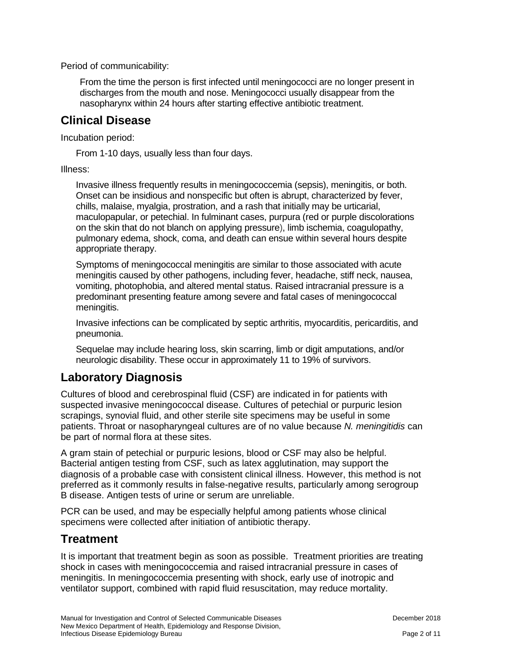Period of communicability:

From the time the person is first infected until meningococci are no longer present in discharges from the mouth and nose. Meningococci usually disappear from the nasopharynx within 24 hours after starting effective antibiotic treatment.

## **Clinical Disease**

Incubation period:

From 1-10 days, usually less than four days.

Illness:

Invasive illness frequently results in meningococcemia (sepsis), meningitis, or both. Onset can be insidious and nonspecific but often is abrupt, characterized by fever, chills, malaise, myalgia, prostration, and a rash that initially may be urticarial, maculopapular, or petechial. In fulminant cases, purpura (red or purple discolorations on the skin that do not blanch on applying pressure), limb ischemia, coagulopathy, pulmonary edema, shock, coma, and death can ensue within several hours despite appropriate therapy.

Symptoms of meningococcal meningitis are similar to those associated with acute meningitis caused by other pathogens, including fever, headache, stiff neck, nausea, vomiting, photophobia, and altered mental status. Raised intracranial pressure is a predominant presenting feature among severe and fatal cases of meningococcal meningitis.

Invasive infections can be complicated by septic arthritis, myocarditis, pericarditis, and pneumonia.

Sequelae may include hearing loss, skin scarring, limb or digit amputations, and/or neurologic disability. These occur in approximately 11 to 19% of survivors.

## **Laboratory Diagnosis**

Cultures of blood and cerebrospinal fluid (CSF) are indicated in for patients with suspected invasive meningococcal disease. Cultures of petechial or purpuric lesion scrapings, synovial fluid, and other sterile site specimens may be useful in some patients. Throat or nasopharyngeal cultures are of no value because *N. meningitidis* can be part of normal flora at these sites.

A gram stain of petechial or purpuric lesions, blood or CSF may also be helpful. Bacterial antigen testing from CSF, such as latex agglutination, may support the diagnosis of a probable case with consistent clinical illness. However, this method is not preferred as it commonly results in false-negative results, particularly among serogroup B disease. Antigen tests of urine or serum are unreliable.

PCR can be used, and may be especially helpful among patients whose clinical specimens were collected after initiation of antibiotic therapy.

## **Treatment**

It is important that treatment begin as soon as possible. Treatment priorities are treating shock in cases with meningococcemia and raised intracranial pressure in cases of meningitis. In meningococcemia presenting with shock, early use of inotropic and ventilator support, combined with rapid fluid resuscitation, may reduce mortality.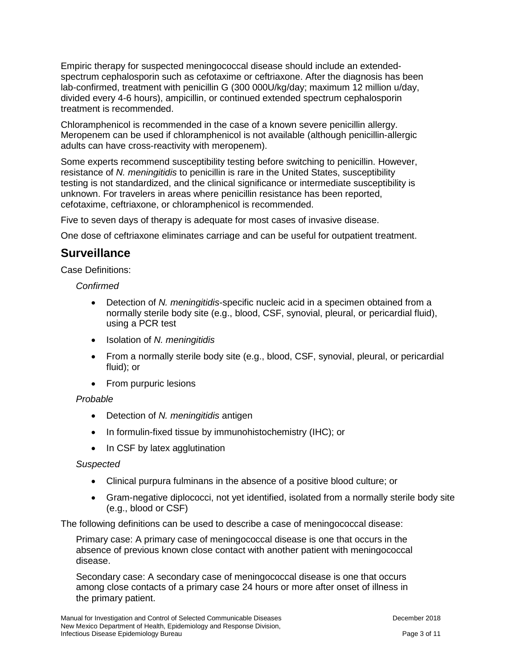Empiric therapy for suspected meningococcal disease should include an extendedspectrum cephalosporin such as cefotaxime or ceftriaxone. After the diagnosis has been lab-confirmed, treatment with penicillin G (300 000U/kg/day; maximum 12 million u/day, divided every 4-6 hours), ampicillin, or continued extended spectrum cephalosporin treatment is recommended.

Chloramphenicol is recommended in the case of a known severe penicillin allergy. Meropenem can be used if chloramphenicol is not available (although penicillin-allergic adults can have cross-reactivity with meropenem).

Some experts recommend susceptibility testing before switching to penicillin. However, resistance of *N. meningitidis* to penicillin is rare in the United States, susceptibility testing is not standardized, and the clinical significance or intermediate susceptibility is unknown. For travelers in areas where penicillin resistance has been reported, cefotaxime, ceftriaxone, or chloramphenicol is recommended.

Five to seven days of therapy is adequate for most cases of invasive disease.

One dose of ceftriaxone eliminates carriage and can be useful for outpatient treatment.

### **Surveillance**

Case Definitions:

*Confirmed*

- Detection of *N. meningitidis*-specific nucleic acid in a specimen obtained from a normally sterile body site (e.g., blood, CSF, synovial, pleural, or pericardial fluid), using a PCR test
- Isolation of *N. meningitidis*
- From a normally sterile body site (e.g., blood, CSF, synovial, pleural, or pericardial fluid); or
- From purpuric lesions

#### *Probable*

- Detection of *N. meningitidis* antigen
- In formulin-fixed tissue by immunohistochemistry (IHC); or
- In CSF by latex agglutination

#### *Suspected*

- Clinical purpura fulminans in the absence of a positive blood culture; or
- Gram-negative diplococci, not yet identified, isolated from a normally sterile body site (e.g., blood or CSF)

The following definitions can be used to describe a case of meningococcal disease:

Primary case: A primary case of meningococcal disease is one that occurs in the absence of previous known close contact with another patient with meningococcal disease.

Secondary case: A secondary case of meningococcal disease is one that occurs among close contacts of a primary case 24 hours or more after onset of illness in the primary patient.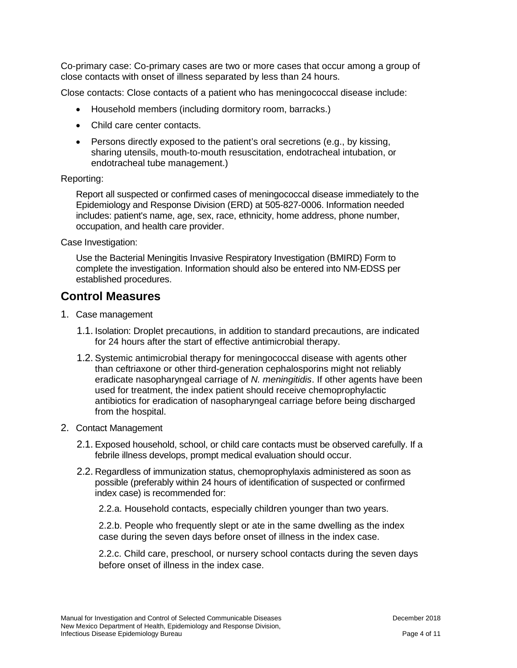Co-primary case: Co-primary cases are two or more cases that occur among a group of close contacts with onset of illness separated by less than 24 hours.

Close contacts: Close contacts of a patient who has meningococcal disease include:

- Household members (including dormitory room, barracks.)
- Child care center contacts.
- Persons directly exposed to the patient's oral secretions (e.g., by kissing, sharing utensils, mouth-to-mouth resuscitation, endotracheal intubation, or endotracheal tube management.)

#### Reporting:

Report all suspected or confirmed cases of meningococcal disease immediately to the Epidemiology and Response Division (ERD) at 505-827-0006. Information needed includes: patient's name, age, sex, race, ethnicity, home address, phone number, occupation, and health care provider.

Case Investigation:

Use the Bacterial Meningitis Invasive Respiratory Investigation (BMIRD) Form to complete the investigation. Information should also be entered into NM-EDSS per established procedures.

## **Control Measures**

- 1. Case management
	- 1.1. Isolation: Droplet precautions, in addition to standard precautions, are indicated for 24 hours after the start of effective antimicrobial therapy.
	- 1.2. Systemic antimicrobial therapy for meningococcal disease with agents other than ceftriaxone or other third-generation cephalosporins might not reliably eradicate nasopharyngeal carriage of *N. meningitidis*. If other agents have been used for treatment, the index patient should receive chemoprophylactic antibiotics for eradication of nasopharyngeal carriage before being discharged from the hospital.
- 2. Contact Management
	- 2.1. Exposed household, school, or child care contacts must be observed carefully. If a febrile illness develops, prompt medical evaluation should occur.
	- 2.2. Regardless of immunization status, chemoprophylaxis administered as soon as possible (preferably within 24 hours of identification of suspected or confirmed index case) is recommended for:

2.2.a. Household contacts, especially children younger than two years.

2.2.b. People who frequently slept or ate in the same dwelling as the index case during the seven days before onset of illness in the index case.

2.2.c. Child care, preschool, or nursery school contacts during the seven days before onset of illness in the index case.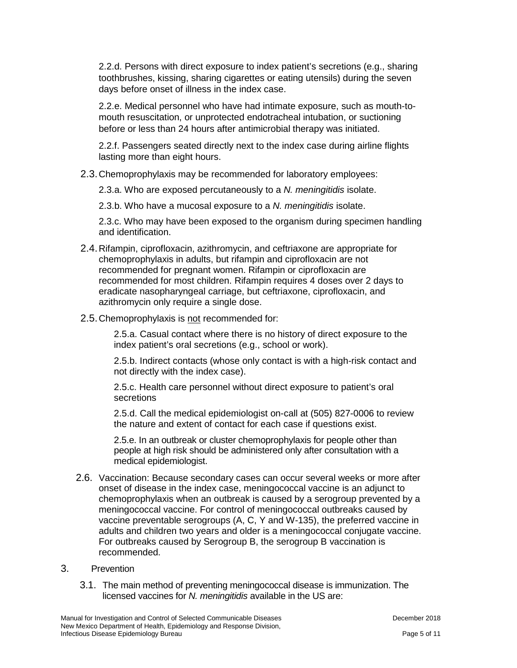2.2.d. Persons with direct exposure to index patient's secretions (e.g., sharing toothbrushes, kissing, sharing cigarettes or eating utensils) during the seven days before onset of illness in the index case.

2.2.e. Medical personnel who have had intimate exposure, such as mouth-tomouth resuscitation, or unprotected endotracheal intubation, or suctioning before or less than 24 hours after antimicrobial therapy was initiated.

2.2.f. Passengers seated directly next to the index case during airline flights lasting more than eight hours.

2.3.Chemoprophylaxis may be recommended for laboratory employees:

2.3.a. Who are exposed percutaneously to a *N. meningitidis* isolate.

2.3.b. Who have a mucosal exposure to a *N. meningitidis* isolate.

2.3.c. Who may have been exposed to the organism during specimen handling and identification.

- 2.4.Rifampin, ciprofloxacin, azithromycin, and ceftriaxone are appropriate for chemoprophylaxis in adults, but rifampin and ciprofloxacin are not recommended for pregnant women. Rifampin or ciprofloxacin are recommended for most children. Rifampin requires 4 doses over 2 days to eradicate nasopharyngeal carriage, but ceftriaxone, ciprofloxacin, and azithromycin only require a single dose.
- 2.5. Chemoprophylaxis is not recommended for:

2.5.a. Casual contact where there is no history of direct exposure to the index patient's oral secretions (e.g., school or work).

2.5.b. Indirect contacts (whose only contact is with a high-risk contact and not directly with the index case).

2.5.c. Health care personnel without direct exposure to patient's oral secretions

2.5.d. Call the medical epidemiologist on-call at (505) 827-0006 to review the nature and extent of contact for each case if questions exist.

2.5.e. In an outbreak or cluster chemoprophylaxis for people other than people at high risk should be administered only after consultation with a medical epidemiologist.

2.6. Vaccination: Because secondary cases can occur several weeks or more after onset of disease in the index case, meningococcal vaccine is an adjunct to chemoprophylaxis when an outbreak is caused by a serogroup prevented by a meningococcal vaccine. For control of meningococcal outbreaks caused by vaccine preventable serogroups (A, C, Y and W-135), the preferred vaccine in adults and children two years and older is a meningococcal conjugate vaccine. For outbreaks caused by Serogroup B, the serogroup B vaccination is recommended.

#### 3. Prevention

3.1. The main method of preventing meningococcal disease is immunization. The licensed vaccines for *N. meningitidis* available in the US are: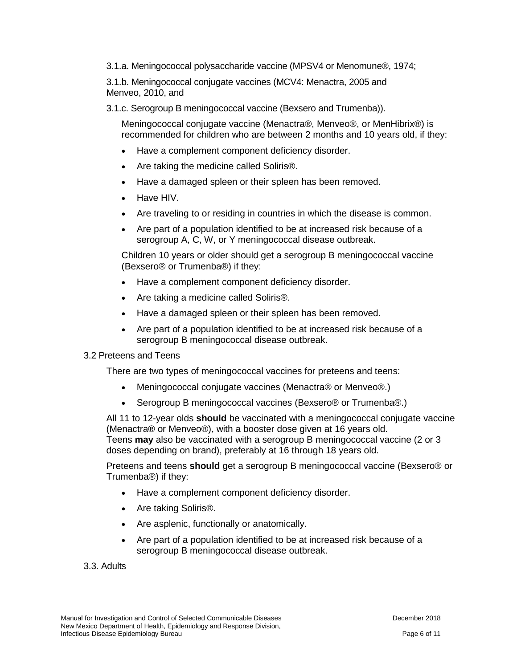3.1.a. Meningococcal polysaccharide vaccine (MPSV4 or Menomune®, 1974;

3.1.b. Meningococcal conjugate vaccines (MCV4: Menactra, 2005 and Menveo, 2010, and

3.1.c. Serogroup B meningococcal vaccine (Bexsero and Trumenba)).

Meningococcal conjugate vaccine (Menactra®, Menveo®, or MenHibrix®) is recommended for children who are between 2 months and 10 years old, if they:

- Have a complement component deficiency disorder.
- Are taking the medicine called Soliris<sup>®</sup>.
- Have a damaged spleen or their spleen has been removed.
- Have HIV.
- Are traveling to or residing in countries in which the disease is common.
- Are part of a population identified to be at increased risk because of a serogroup A, C, W, or Y meningococcal disease outbreak.

Children 10 years or older should get a serogroup B meningococcal vaccine (Bexsero® or Trumenba®) if they:

- Have a complement component deficiency disorder.
- Are taking a medicine called Soliris®.
- Have a damaged spleen or their spleen has been removed.
- Are part of a population identified to be at increased risk because of a serogroup B meningococcal disease outbreak.

#### 3.2 Preteens and Teens

There are two types of meningococcal vaccines for preteens and teens:

- Meningococcal conjugate vaccines (Menactra® or Menveo®.)
- Serogroup B meningococcal vaccines (Bexsero® or Trumenba®.)

All 11 to 12-year olds **should** be vaccinated with a meningococcal conjugate vaccine (Menactra® or Menveo®), with a booster dose given at 16 years old. Teens **may** also be vaccinated with a serogroup B meningococcal vaccine (2 or 3 doses depending on brand), preferably at 16 through 18 years old.

Preteens and teens **should** get a serogroup B meningococcal vaccine (Bexsero® or Trumenba®) if they:

- Have a complement component deficiency disorder.
- Are taking Soliris<sup>®</sup>.
- Are asplenic, functionally or anatomically.
- Are part of a population identified to be at increased risk because of a serogroup B meningococcal disease outbreak.

3.3. Adults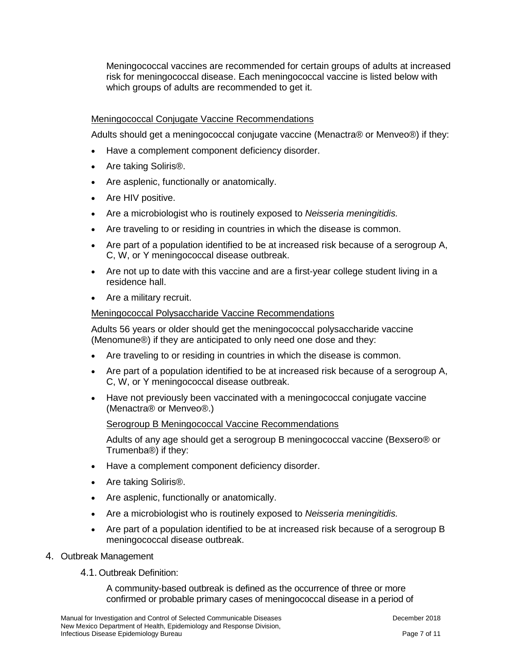Meningococcal vaccines are recommended for certain groups of adults at increased risk for meningococcal disease. Each meningococcal vaccine is listed below with which groups of adults are recommended to get it.

#### Meningococcal Conjugate Vaccine Recommendations

Adults should get a meningococcal conjugate vaccine (Menactra® or Menveo®) if they:

- Have a complement component deficiency disorder.
- Are taking Soliris®.
- Are asplenic, functionally or anatomically.
- Are HIV positive.
- Are a microbiologist who is routinely exposed to *Neisseria meningitidis.*
- Are traveling to or residing in countries in which the disease is common.
- Are part of a population identified to be at increased risk because of a serogroup A, C, W, or Y meningococcal disease outbreak.
- Are not up to date with this vaccine and are a first-year college student living in a residence hall.
- Are a military recruit.

#### Meningococcal Polysaccharide Vaccine Recommendations

Adults 56 years or older should get the meningococcal polysaccharide vaccine (Menomune®) if they are anticipated to only need one dose and they:

- Are traveling to or residing in countries in which the disease is common.
- Are part of a population identified to be at increased risk because of a serogroup A, C, W, or Y meningococcal disease outbreak.
- Have not previously been vaccinated with a meningococcal conjugate vaccine (Menactra® or Menveo®.)

#### Serogroup B Meningococcal Vaccine Recommendations

Adults of any age should get a serogroup B meningococcal vaccine (Bexsero® or Trumenba®) if they:

- Have a complement component deficiency disorder.
- Are taking Soliris®.
- Are asplenic, functionally or anatomically.
- Are a microbiologist who is routinely exposed to *Neisseria meningitidis.*
- Are part of a population identified to be at increased risk because of a serogroup B meningococcal disease outbreak.
- 4. Outbreak Management
	- 4.1. Outbreak Definition:

A community-based outbreak is defined as the occurrence of three or more confirmed or probable primary cases of meningococcal disease in a period of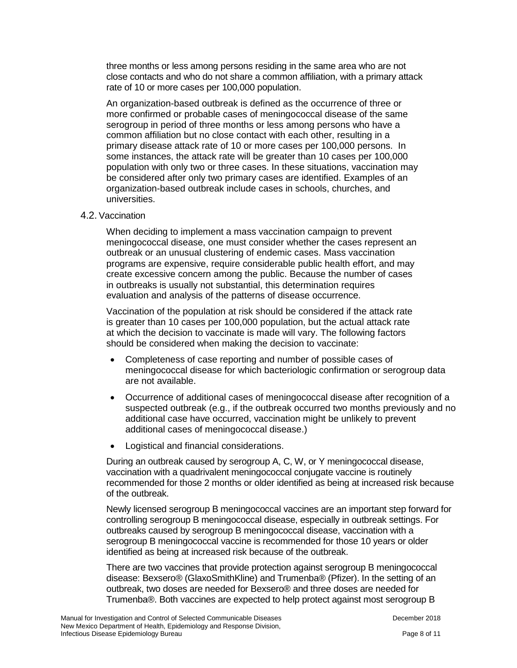three months or less among persons residing in the same area who are not close contacts and who do not share a common affiliation, with a primary attack rate of 10 or more cases per 100,000 population.

An organization-based outbreak is defined as the occurrence of three or more confirmed or probable cases of meningococcal disease of the same serogroup in period of three months or less among persons who have a common affiliation but no close contact with each other, resulting in a primary disease attack rate of 10 or more cases per 100,000 persons. In some instances, the attack rate will be greater than 10 cases per 100,000 population with only two or three cases. In these situations, vaccination may be considered after only two primary cases are identified. Examples of an organization-based outbreak include cases in schools, churches, and universities.

#### 4.2. Vaccination

When deciding to implement a mass vaccination campaign to prevent meningococcal disease, one must consider whether the cases represent an outbreak or an unusual clustering of endemic cases. Mass vaccination programs are expensive, require considerable public health effort, and may create excessive concern among the public. Because the number of cases in outbreaks is usually not substantial, this determination requires evaluation and analysis of the patterns of disease occurrence.

Vaccination of the population at risk should be considered if the attack rate is greater than 10 cases per 100,000 population, but the actual attack rate at which the decision to vaccinate is made will vary. The following factors should be considered when making the decision to vaccinate:

- Completeness of case reporting and number of possible cases of meningococcal disease for which bacteriologic confirmation or serogroup data are not available.
- Occurrence of additional cases of meningococcal disease after recognition of a suspected outbreak (e.g., if the outbreak occurred two months previously and no additional case have occurred, vaccination might be unlikely to prevent additional cases of meningococcal disease.)
- Logistical and financial considerations.

During an outbreak caused by serogroup A, C, W, or Y meningococcal disease, vaccination with a quadrivalent meningococcal conjugate vaccine is routinely recommended for those 2 months or older identified as being at increased risk because of the outbreak.

Newly licensed serogroup B meningococcal vaccines are an important step forward for controlling serogroup B meningococcal disease, especially in outbreak settings. For outbreaks caused by serogroup B meningococcal disease, vaccination with a serogroup B meningococcal vaccine is recommended for those 10 years or older identified as being at increased risk because of the outbreak.

There are two vaccines that provide protection against serogroup B meningococcal disease: Bexsero® (GlaxoSmithKline) and Trumenba® (Pfizer). In the setting of an outbreak, two doses are needed for Bexsero® and three doses are needed for Trumenba®. Both vaccines are expected to help protect against most serogroup B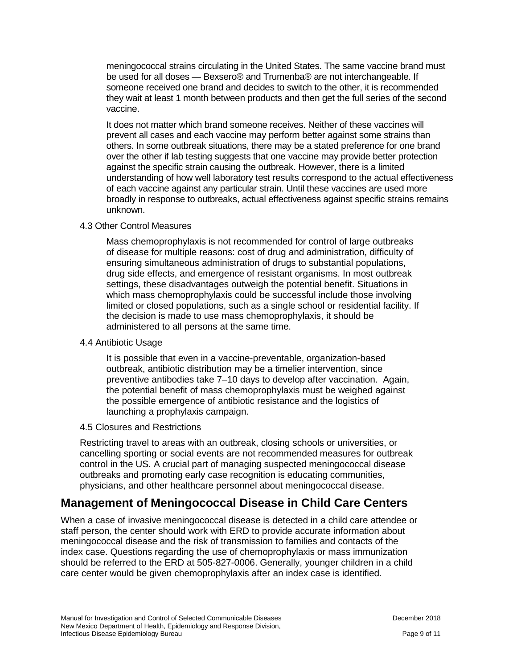meningococcal strains circulating in the United States. The same vaccine brand must be used for all doses — Bexsero® and Trumenba® are not interchangeable. If someone received one brand and decides to switch to the other, it is recommended they wait at least 1 month between products and then get the full series of the second vaccine.

It does not matter which brand someone receives. Neither of these vaccines will prevent all cases and each vaccine may perform better against some strains than others. In some outbreak situations, there may be a stated preference for one brand over the other if lab testing suggests that one vaccine may provide better protection against the specific strain causing the outbreak. However, there is a limited understanding of how well laboratory test results correspond to the actual effectiveness of each vaccine against any particular strain. Until these vaccines are used more broadly in response to outbreaks, actual effectiveness against specific strains remains unknown.

#### 4.3 Other Control Measures

Mass chemoprophylaxis is not recommended for control of large outbreaks of disease for multiple reasons: cost of drug and administration, difficulty of ensuring simultaneous administration of drugs to substantial populations, drug side effects, and emergence of resistant organisms. In most outbreak settings, these disadvantages outweigh the potential benefit. Situations in which mass chemoprophylaxis could be successful include those involving limited or closed populations, such as a single school or residential facility. If the decision is made to use mass chemoprophylaxis, it should be administered to all persons at the same time.

#### 4.4 Antibiotic Usage

It is possible that even in a vaccine-preventable, organization-based outbreak, antibiotic distribution may be a timelier intervention, since preventive antibodies take 7–10 days to develop after vaccination. Again, the potential benefit of mass chemoprophylaxis must be weighed against the possible emergence of antibiotic resistance and the logistics of launching a prophylaxis campaign.

#### 4.5 Closures and Restrictions

Restricting travel to areas with an outbreak, closing schools or universities, or cancelling sporting or social events are not recommended measures for outbreak control in the US. A crucial part of managing suspected meningococcal disease outbreaks and promoting early case recognition is educating communities, physicians, and other healthcare personnel about meningococcal disease.

## **Management of Meningococcal Disease in Child Care Centers**

When a case of invasive meningococcal disease is detected in a child care attendee or staff person, the center should work with ERD to provide accurate information about meningococcal disease and the risk of transmission to families and contacts of the index case. Questions regarding the use of chemoprophylaxis or mass immunization should be referred to the ERD at 505-827-0006. Generally, younger children in a child care center would be given chemoprophylaxis after an index case is identified.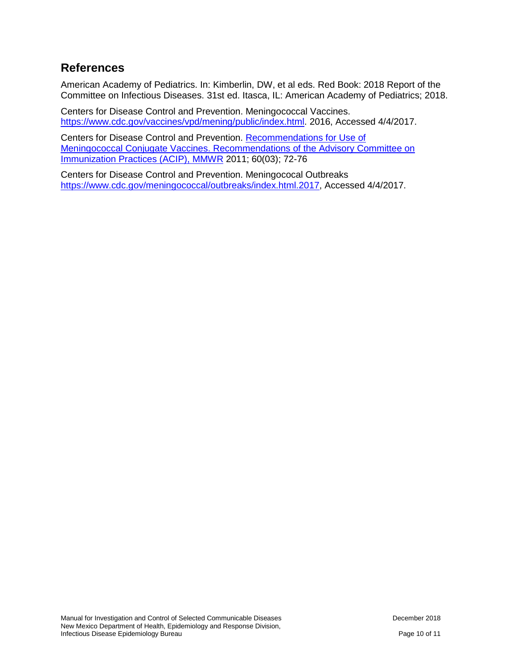## **References**

American Academy of Pediatrics. In: Kimberlin, DW, et al eds. Red Book: 2018 Report of the Committee on Infectious Diseases. 31st ed. Itasca, IL: American Academy of Pediatrics; 2018.

Centers for Disease Control and Prevention. Meningococcal Vaccines. [https://www.cdc.gov/vaccines/vpd/mening/public/index.html.](https://www.cdc.gov/vaccines/vpd/mening/public/index.html) 2016, Accessed 4/4/2017.

Centers for Disease Control and Prevention. [Recommendations for Use of](http://www.cdc.gov/mmwr/preview/mmwrhtml/mm6003a3.htm)  [Meningococcal Conjugate Vaccines. Recommendations of the Advisory Committee on](http://www.cdc.gov/mmwr/preview/mmwrhtml/mm6003a3.htm)  [Immunization Practices \(ACIP\), MMWR](http://www.cdc.gov/mmwr/preview/mmwrhtml/mm6003a3.htm) 2011; 60(03); 72-76

Centers for Disease Control and Prevention. Meningococal Outbreaks [https://www.cdc.gov/meningococcal/outbreaks/index.html.2017,](https://www.cdc.gov/meningococcal/outbreaks/index.html.2017) Accessed 4/4/2017.